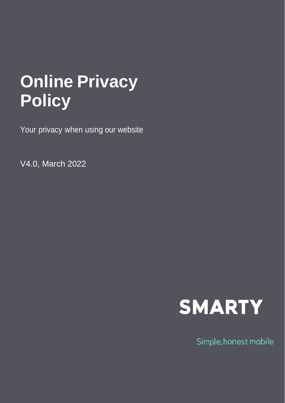# **Online Privacy Policy**

Your privacy when using our website

V4.0, March 2022



Simple, honest mobile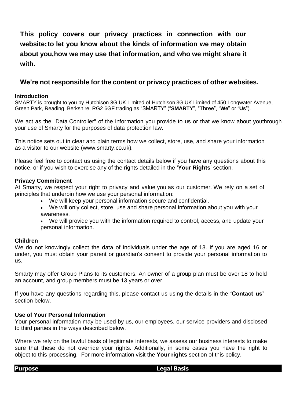**This policy covers our privacy practices in connection with our website;to let you know about the kinds of information we may obtain about you,how we may use that information, and who we might share it with.**

# **We're not responsible for the content or privacy practices of other websites.**

## **Introduction**

SMARTY is brought to you by Hutchison 3G UK Limited of Hutchison 3G UK Limited of 450 Longwater Avenue, Green Park, Reading, Berkshire, RG2 6GF trading as "SMARTY" ("**SMARTY**", "**Three**", "**We**" or "**Us**").

We act as the "Data Controller" of the information you provide to us or that we know about youthrough your use of Smarty for the purposes of data protection law.

This notice sets out in clear and plain terms how we collect, store, use, and share your information as a visitor to our website (www.smarty.co.uk).

Please feel free to contact us using the contact details below if you have any questions about this notice, or if you wish to exercise any of the rights detailed in the '**Your Rights**' section.

## **Privacy Commitment**

At Smarty, we respect your right to privacy and value you as our customer. We rely on a set of principles that underpin how we use your personal information:

- We will keep your personal information secure and confidential.
- We will only collect, store, use and share personal information about you with your awareness.
- We will provide you with the information required to control, access, and update your personal information.

### **Children**

We do not knowingly collect the data of individuals under the age of 13. If you are aged 16 or under, you must obtain your parent or guardian's consent to provide your personal information to us.

Smarty may offer Group Plans to its customers. An owner of a group plan must be over 18 to hold an account, and group members must be 13 years or over.

If you have any questions regarding this, please contact us using the details in the **'Contact us'** section below.

### **Use of Your Personal Information**

Your personal information may be used by us, our employees, our service providers and disclosed to third parties in the ways described below.

Where we rely on the lawful basis of legitimate interests, we assess our business interests to make sure that these do not override your rights. Additionally, in some cases you have the right to object to this processing. For more information visit the **Your rights** section of this policy.

**Purpose Legal Basis**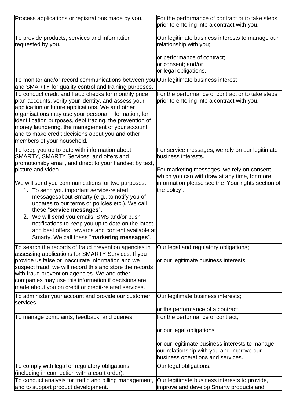| Process applications or registrations made by you.                                                                                                                                                                                                                                                                                                                                                                                     | For the performance of contract or to take steps<br>prior to entering into a contract with you.                                  |
|----------------------------------------------------------------------------------------------------------------------------------------------------------------------------------------------------------------------------------------------------------------------------------------------------------------------------------------------------------------------------------------------------------------------------------------|----------------------------------------------------------------------------------------------------------------------------------|
| To provide products, services and information<br>requested by you.                                                                                                                                                                                                                                                                                                                                                                     | Our legitimate business interests to manage our<br>relationship with you;                                                        |
|                                                                                                                                                                                                                                                                                                                                                                                                                                        | or performance of contract;<br>or consent; and/or<br>or legal obligations.                                                       |
| To monitor and/or record communications between you Our legitimate business interest<br>and SMARTY for quality control and training purposes.                                                                                                                                                                                                                                                                                          |                                                                                                                                  |
| To conduct credit and fraud checks for monthly price<br>plan accounts, verify your identity, and assess your<br>application or future applications. We and other<br>organisations may use your personal information, for<br>identification purposes, debt tracing, the prevention of<br>money laundering, the management of your account<br>and to make credit decisions about you and other<br>members of your household.             | For the performance of contract or to take steps<br>prior to entering into a contract with you.                                  |
| To keep you up to date with information about<br>SMARTY, SMARTY Services, and offers and<br>promotionsby email, and direct to your handset by text,<br>picture and video.                                                                                                                                                                                                                                                              | For service messages, we rely on our legitimate<br>business interests.<br>For marketing messages, we rely on consent,            |
| We will send you communications for two purposes:<br>1. To send you important service-related<br>messagesabout Smarty (e.g., to notify you of<br>updates to our terms or policies etc.). We call<br>these "service messages".<br>2. We will send you emails, SMS and/or push<br>notifications to keep you up to date on the latest<br>and best offers, rewards and content available at<br>Smarty. We call these "marketing messages". | which you can withdraw at any time, for more<br>information please see the 'Your rights section of<br>the policy'.               |
| To search the records of fraud prevention agencies in<br>assessing applications for SMARTY Services. If you                                                                                                                                                                                                                                                                                                                            | Our legal and regulatory obligations;                                                                                            |
| provide us false or inaccurate information and we<br>suspect fraud, we will record this and store the records<br>with fraud prevention agencies. We and other<br>companies may use this information if decisions are<br>made about you on credit or credit-related services.                                                                                                                                                           | or our legitimate business interests.                                                                                            |
| To administer your account and provide our customer<br>services.                                                                                                                                                                                                                                                                                                                                                                       | Our legitimate business interests;                                                                                               |
|                                                                                                                                                                                                                                                                                                                                                                                                                                        | or the performance of a contract.                                                                                                |
| To manage complaints, feedback, and queries.                                                                                                                                                                                                                                                                                                                                                                                           | For the performance of contract;                                                                                                 |
|                                                                                                                                                                                                                                                                                                                                                                                                                                        | or our legal obligations;                                                                                                        |
|                                                                                                                                                                                                                                                                                                                                                                                                                                        | or our legitimate business interests to manage<br>our relationship with you and improve our<br>business operations and services. |
| To comply with legal or regulatory obligations                                                                                                                                                                                                                                                                                                                                                                                         | Our legal obligations.                                                                                                           |
| (including in connection with a court order).<br>To conduct analysis for traffic and billing management,                                                                                                                                                                                                                                                                                                                               | Our legitimate business interests to provide,                                                                                    |
| and to support product development.                                                                                                                                                                                                                                                                                                                                                                                                    | improve and develop Smarty products and                                                                                          |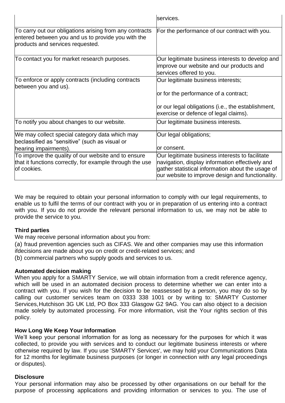|                                                                                                                                                   | services.                                                                                                                                                                                                   |
|---------------------------------------------------------------------------------------------------------------------------------------------------|-------------------------------------------------------------------------------------------------------------------------------------------------------------------------------------------------------------|
| To carry out our obligations arising from any contracts<br>entered between you and us to provide you with the<br>products and services requested. | For the performance of our contract with you.                                                                                                                                                               |
| To contact you for market research purposes.                                                                                                      | Our legitimate business interests to develop and<br>improve our website and our products and<br>services offered to you.                                                                                    |
| To enforce or apply contracts (including contracts<br>between you and us).                                                                        | Our legitimate business interests;<br>or for the performance of a contract;                                                                                                                                 |
|                                                                                                                                                   | or our legal obligations (i.e., the establishment,<br>exercise or defence of legal claims).                                                                                                                 |
| To notify you about changes to our website.                                                                                                       | Our legitimate business interests.                                                                                                                                                                          |
| We may collect special category data which may<br>beclassified as "sensitive" (such as visual or<br>hearing impairments).                         | Our legal obligations;<br>lor consent.                                                                                                                                                                      |
| To improve the quality of our website and to ensure<br>that it functions correctly, for example through the use<br>of cookies.                    | Our legitimate business interests to facilitate<br>navigation, display information effectively and<br>gather statistical information about the usage of<br>our website to improve design and functionality. |

We may be required to obtain your personal information to comply with our legal requirements, to enable us to fulfil the terms of our contract with you or in preparation of us entering into a contract with you. If you do not provide the relevant personal information to us, we may not be able to provide the service to you.

# **Third parties**

We may receive personal information about you from:

(a) fraud prevention agencies such as CIFAS. We and other companies may use this information ifdecisions are made about you on credit or credit-related services; and

(b) commercial partners who supply goods and services to us.

## **Automated decision making**

When you apply for a SMARTY Service, we will obtain information from a credit reference agency, which will be used in an automated decision process to determine whether we can enter into a contract with you. If you wish for the decision to be reassessed by a person, you may do so by calling our customer services team on 0333 338 1001 or by writing to: SMARTY Customer Services,Hutchison 3G UK Ltd, PO Box 333 Glasgow G2 9AG. You can also object to a decision made solely by automated processing. For more information, visit the Your rights section of this policy.

# **How Long We Keep Your Information**

We'll keep your personal information for as long as necessary for the purposes for which it was collected, to provide you with services and to conduct our legitimate business interests or where otherwise required by law. If you use 'SMARTY Services', we may hold your Communications Data for 12 months for legitimate business purposes (or longer in connection with any legal proceedings or disputes).

# **Disclosure**

Your personal information may also be processed by other organisations on our behalf for the purpose of processing applications and providing information or services to you. The use of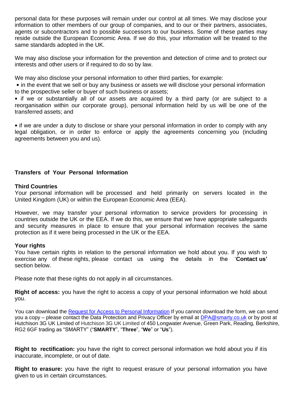personal data for these purposes will remain under our control at all times. We may disclose your information to other members of our group of companies, and to our or their partners, associates, agents or subcontractors and to possible successors to our business. Some of these parties may reside outside the European Economic Area. If we do this, your information will be treated to the same standards adopted in the UK.

We may also disclose your information for the prevention and detection of crime and to protect our interests and other users or if required to do so by law.

We may also disclose your personal information to other third parties, for example:

• in the event that we sell or buy any business or assets we will disclose your personal information to the prospective seller or buyer of such business or assets;

• if we or substantially all of our assets are acquired by a third party (or are subject to a reorganisation within our corporate group), personal information held by us will be one of the transferred assets; and

• if we are under a duty to disclose or share your personal information in order to comply with any legal obligation, or in order to enforce or apply the agreements concerning you (including agreements between you and us).

# **Transfers of Your Personal Information**

## **Third Countries**

Your personal information will be processed and held primarily on servers located in the United Kingdom (UK) or within the European Economic Area (EEA).

However, we may transfer your personal information to service providers for processing in countries outside the UK or the EEA. If we do this, we ensure that we have appropriate safeguards and security measures in place to ensure that your personal information receives the same protection as if it were being processed in the UK or the EEA.

## **Your rights**

You have certain rights in relation to the personal information we hold about you. If you wish to exercise any of these rights, please contact us using the details in the '**Contact us'** section below.

Please note that these rights do not apply in all circumstances.

**Right of access:** you have the right to access a copy of your personal information we hold about you.

You can download the [Request for Access to Personal Information](https://help.smarty.co.uk/en/articles/1943287-subject-access-request) If you cannot download the form, we can send you a copy – please contact the Data Protection and Privacy Officer by email at [DPA@smarty.co.uk](mailto:DPA@smarty.co.uk) or by post at Hutchison 3G UK Limited of Hutchison 3G UK Limited of 450 Longwater Avenue, Green Park, Reading, Berkshire, RG2 6GF trading as "SMARTY" ("**SMARTY**", "**Three**", "**We**" or "**Us**").

**Right to rectification:** you have the right to correct personal information we hold about you if itis inaccurate, incomplete, or out of date.

**Right to erasure:** you have the right to request erasure of your personal information you have given to us in certain circumstances.